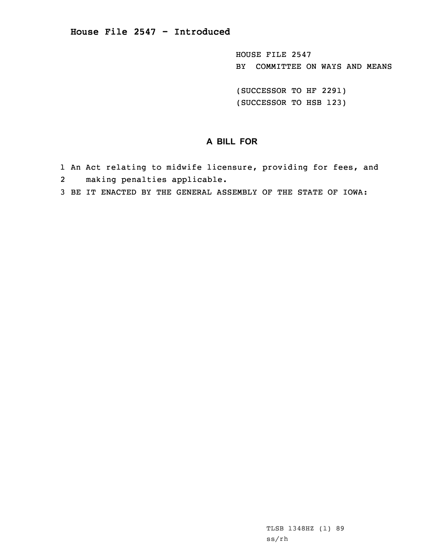HOUSE FILE 2547 BY COMMITTEE ON WAYS AND MEANS

(SUCCESSOR TO HF 2291) (SUCCESSOR TO HSB 123)

## **A BILL FOR**

- 1 An Act relating to midwife licensure, providing for fees, and
- 2making penalties applicable.
- 3 BE IT ENACTED BY THE GENERAL ASSEMBLY OF THE STATE OF IOWA: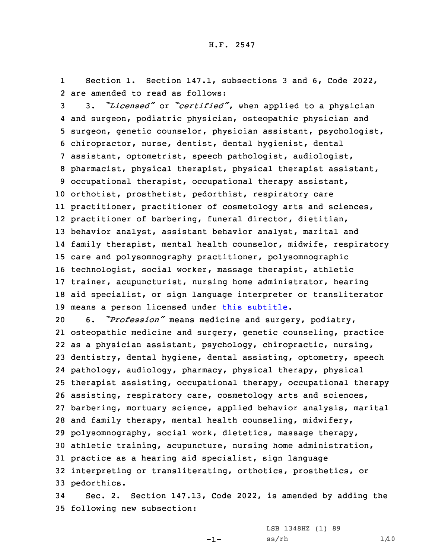1Section 1. Section 147.1, subsections 3 and 6, Code 2022, 2 are amended to read as follows:

 3. *"Licensed"* or *"certified"*, when applied to <sup>a</sup> physician and surgeon, podiatric physician, osteopathic physician and surgeon, genetic counselor, physician assistant, psychologist, chiropractor, nurse, dentist, dental hygienist, dental assistant, optometrist, speech pathologist, audiologist, pharmacist, physical therapist, physical therapist assistant, occupational therapist, occupational therapy assistant, orthotist, prosthetist, pedorthist, respiratory care practitioner, practitioner of cosmetology arts and sciences, practitioner of barbering, funeral director, dietitian, behavior analyst, assistant behavior analyst, marital and family therapist, mental health counselor, midwife, respiratory care and polysomnography practitioner, polysomnographic technologist, social worker, massage therapist, athletic trainer, acupuncturist, nursing home administrator, hearing aid specialist, or sign language interpreter or transliterator means <sup>a</sup> person licensed under this subtitle.

 6. *"Profession"* means medicine and surgery, podiatry, osteopathic medicine and surgery, genetic counseling, practice as <sup>a</sup> physician assistant, psychology, chiropractic, nursing, dentistry, dental hygiene, dental assisting, optometry, speech pathology, audiology, pharmacy, physical therapy, physical therapist assisting, occupational therapy, occupational therapy assisting, respiratory care, cosmetology arts and sciences, barbering, mortuary science, applied behavior analysis, marital and family therapy, mental health counseling, midwifery, polysomnography, social work, dietetics, massage therapy, athletic training, acupuncture, nursing home administration, practice as <sup>a</sup> hearing aid specialist, sign language interpreting or transliterating, orthotics, prosthetics, or pedorthics.

34 Sec. 2. Section 147.13, Code 2022, is amended by adding the 35 following new subsection:

-1-

LSB 1348HZ (1) 89  $ss/rh$   $1/10$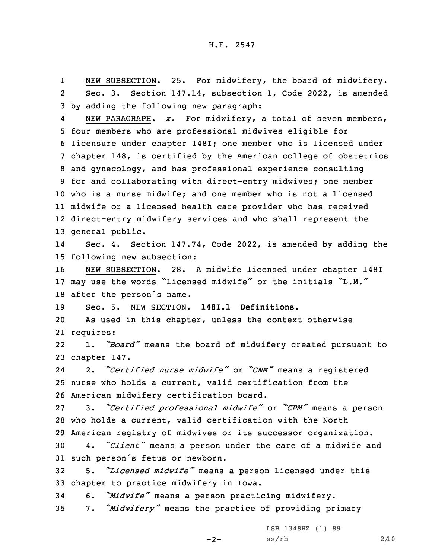1 NEW SUBSECTION. 25. For midwifery, the board of midwifery. 2 Sec. 3. Section 147.14, subsection 1, Code 2022, is amended 3 by adding the following new paragraph:

4 NEW PARAGRAPH. *x.* For midwifery, <sup>a</sup> total of seven members, four members who are professional midwives eligible for licensure under chapter 148I; one member who is licensed under chapter 148, is certified by the American college of obstetrics and gynecology, and has professional experience consulting for and collaborating with direct-entry midwives; one member who is <sup>a</sup> nurse midwife; and one member who is not <sup>a</sup> licensed midwife or <sup>a</sup> licensed health care provider who has received direct-entry midwifery services and who shall represent the general public.

14 Sec. 4. Section 147.74, Code 2022, is amended by adding the 15 following new subsection:

16 NEW SUBSECTION. 28. <sup>A</sup> midwife licensed under chapter 148I <sup>17</sup> may use the words "licensed midwife" or the initials "L.M." <sup>18</sup> after the person's name.

19 Sec. 5. NEW SECTION. **148I.1 Definitions.**

20 As used in this chapter, unless the context otherwise 21 requires:

22 1. *"Board"* means the board of midwifery created pursuant to 23 chapter 147.

24 2. *"Certified nurse midwife"* or *"CNM"* means <sup>a</sup> registered 25 nurse who holds <sup>a</sup> current, valid certification from the 26 American midwifery certification board.

27 3. *"Certified professional midwife"* or *"CPM"* means <sup>a</sup> person 28 who holds <sup>a</sup> current, valid certification with the North 29 American registry of midwives or its successor organization.

<sup>30</sup> 4. *"Client"* means <sup>a</sup> person under the care of <sup>a</sup> midwife and <sup>31</sup> such person's fetus or newborn.

<sup>32</sup> 5. *"Licensed midwife"* means <sup>a</sup> person licensed under this 33 chapter to practice midwifery in Iowa.

<sup>34</sup> 6. *"Midwife"* means <sup>a</sup> person practicing midwifery.

<sup>35</sup> 7. *"Midwifery"* means the practice of providing primary

 $-2-$ 

LSB 1348HZ (1) 89  $ss/rh$  2/10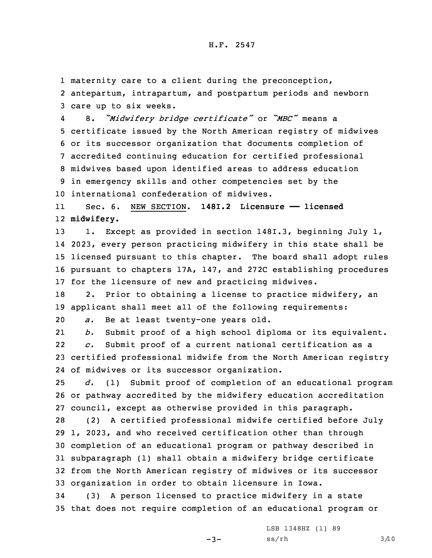1 maternity care to <sup>a</sup> client during the preconception, 2 antepartum, intrapartum, and postpartum periods and newborn

3 care up to six weeks.

4 8. *"Midwifery bridge certificate"* or *"MBC"* means <sup>a</sup> certificate issued by the North American registry of midwives or its successor organization that documents completion of accredited continuing education for certified professional midwives based upon identified areas to address education in emergency skills and other competencies set by the international confederation of midwives.

11 Sec. 6. NEW SECTION. **148I.2 Licensure —— licensed** 12 **midwifery.**

13 1. Except as provided in section 148I.3, beginning July 1, 2023, every person practicing midwifery in this state shall be licensed pursuant to this chapter. The board shall adopt rules pursuant to chapters 17A, 147, and 272C establishing procedures for the licensure of new and practicing midwives.

18 2. Prior to obtaining <sup>a</sup> license to practice midwifery, an 19 applicant shall meet all of the following requirements:

20 *a.* Be at least twenty-one years old.

21 *b.* Submit proof of <sup>a</sup> high school diploma or its equivalent. 22 *c.* Submit proof of <sup>a</sup> current national certification as <sup>a</sup> 23 certified professional midwife from the North American registry 24 of midwives or its successor organization.

25 *d.* (1) Submit proof of completion of an educational program 26 or pathway accredited by the midwifery education accreditation 27 council, except as otherwise provided in this paragraph.

 (2) <sup>A</sup> certified professional midwife certified before July 1, 2023, and who received certification other than through completion of an educational program or pathway described in subparagraph (1) shall obtain <sup>a</sup> midwifery bridge certificate from the North American registry of midwives or its successor organization in order to obtain licensure in Iowa.

34 (3) <sup>A</sup> person licensed to practice midwifery in <sup>a</sup> state 35 that does not require completion of an educational program or

 $-3-$ 

LSB 1348HZ (1) 89  $ss/rh$   $3/10$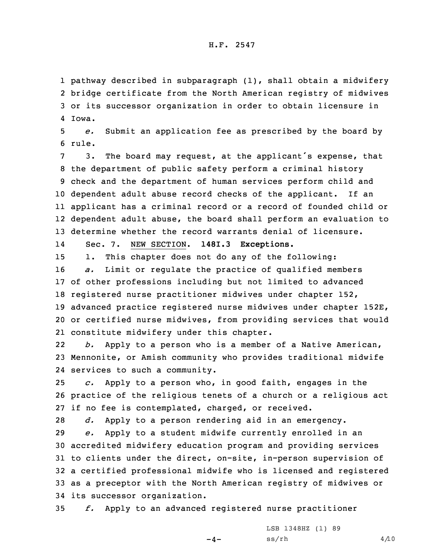## H.F. 2547

 pathway described in subparagraph (1), shall obtain <sup>a</sup> midwifery bridge certificate from the North American registry of midwives or its successor organization in order to obtain licensure in 4 Iowa.

5 *e.* Submit an application fee as prescribed by the board by 6 rule.

 3. The board may request, at the applicant's expense, that the department of public safety perform <sup>a</sup> criminal history check and the department of human services perform child and dependent adult abuse record checks of the applicant. If an applicant has <sup>a</sup> criminal record or <sup>a</sup> record of founded child or dependent adult abuse, the board shall perform an evaluation to determine whether the record warrants denial of licensure.

14Sec. 7. NEW SECTION. **148I.3 Exceptions.**

 1. This chapter does not do any of the following: *a.* Limit or regulate the practice of qualified members of other professions including but not limited to advanced registered nurse practitioner midwives under chapter 152, advanced practice registered nurse midwives under chapter 152E, or certified nurse midwives, from providing services that would constitute midwifery under this chapter.

22 *b.* Apply to <sup>a</sup> person who is <sup>a</sup> member of <sup>a</sup> Native American, 23 Mennonite, or Amish community who provides traditional midwife 24 services to such <sup>a</sup> community.

25 *c.* Apply to <sup>a</sup> person who, in good faith, engages in the 26 practice of the religious tenets of <sup>a</sup> church or <sup>a</sup> religious act 27 if no fee is contemplated, charged, or received.

28 *d.* Apply to <sup>a</sup> person rendering aid in an emergency.

 *e.* Apply to <sup>a</sup> student midwife currently enrolled in an accredited midwifery education program and providing services to clients under the direct, on-site, in-person supervision of <sup>a</sup> certified professional midwife who is licensed and registered as <sup>a</sup> preceptor with the North American registry of midwives or its successor organization.

35 *f.* Apply to an advanced registered nurse practitioner

 $-4-$ 

LSB 1348HZ (1) 89  $ss/rh$  4/10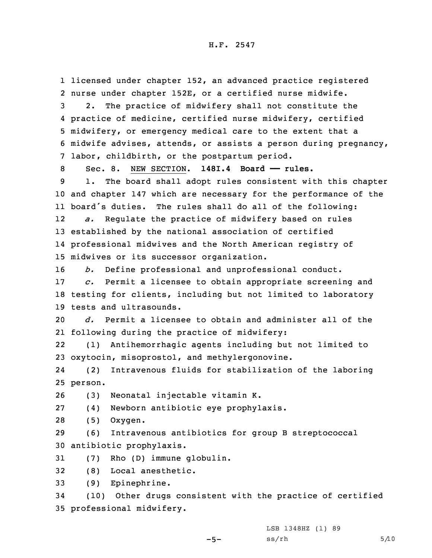1 licensed under chapter 152, an advanced practice registered 2 nurse under chapter 152E, or <sup>a</sup> certified nurse midwife.

 2. The practice of midwifery shall not constitute the practice of medicine, certified nurse midwifery, certified midwifery, or emergency medical care to the extent that <sup>a</sup> midwife advises, attends, or assists <sup>a</sup> person during pregnancy, labor, childbirth, or the postpartum period.

 Sec. 8. NEW SECTION. **148I.4 Board —— rules.** 1. The board shall adopt rules consistent with this chapter and chapter 147 which are necessary for the performance of the board's duties. The rules shall do all of the following: 12 *a.* Regulate the practice of midwifery based on rules established by the national association of certified professional midwives and the North American registry of midwives or its successor organization.

16 *b.* Define professional and unprofessional conduct.

17 *c.* Permit <sup>a</sup> licensee to obtain appropriate screening and 18 testing for clients, including but not limited to laboratory 19 tests and ultrasounds.

20 *d.* Permit <sup>a</sup> licensee to obtain and administer all of the 21 following during the practice of midwifery:

22 (1) Antihemorrhagic agents including but not limited to 23 oxytocin, misoprostol, and methylergonovine.

24 (2) Intravenous fluids for stabilization of the laboring 25 person.

26 (3) Neonatal injectable vitamin K.

27 (4) Newborn antibiotic eye prophylaxis.

28 (5) Oxygen.

29 (6) Intravenous antibiotics for group <sup>B</sup> streptococcal 30 antibiotic prophylaxis.

31 (7) Rho (D) immune globulin.

32 (8) Local anesthetic.

33 (9) Epinephrine.

34 (10) Other drugs consistent with the practice of certified 35 professional midwifery.

LSB 1348HZ (1) 89

 $-5-$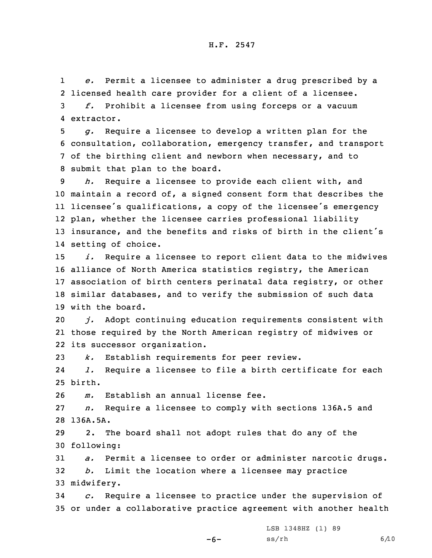1 *e.* Permit <sup>a</sup> licensee to administer <sup>a</sup> drug prescribed by <sup>a</sup> 2 licensed health care provider for <sup>a</sup> client of <sup>a</sup> licensee. 3 *f.* Prohibit <sup>a</sup> licensee from using forceps or <sup>a</sup> vacuum 4 extractor.

 *g.* Require <sup>a</sup> licensee to develop <sup>a</sup> written plan for the consultation, collaboration, emergency transfer, and transport of the birthing client and newborn when necessary, and to submit that plan to the board.

 *h.* Require <sup>a</sup> licensee to provide each client with, and maintain <sup>a</sup> record of, <sup>a</sup> signed consent form that describes the licensee's qualifications, <sup>a</sup> copy of the licensee's emergency plan, whether the licensee carries professional liability insurance, and the benefits and risks of birth in the client's setting of choice.

 *i.* Require <sup>a</sup> licensee to report client data to the midwives alliance of North America statistics registry, the American association of birth centers perinatal data registry, or other similar databases, and to verify the submission of such data with the board.

20 *j.* Adopt continuing education requirements consistent with 21 those required by the North American registry of midwives or 22 its successor organization.

23 *k.* Establish requirements for peer review.

24 *l.* Require <sup>a</sup> licensee to file <sup>a</sup> birth certificate for each 25 birth.

26 *m.* Establish an annual license fee.

27 *n.* Require <sup>a</sup> licensee to comply with sections 136A.5 and 28 136A.5A.

29 2. The board shall not adopt rules that do any of the 30 following:

31 *a.* Permit <sup>a</sup> licensee to order or administer narcotic drugs. 32 *b.* Limit the location where <sup>a</sup> licensee may practice 33 midwifery.

34 *c.* Require <sup>a</sup> licensee to practice under the supervision of 35 or under <sup>a</sup> collaborative practice agreement with another health

LSB 1348HZ (1) 89

-6-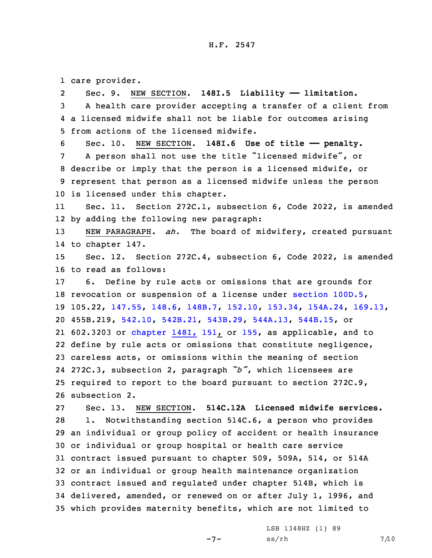## H.F. 2547

1 care provider.

2 Sec. 9. NEW SECTION. **148I.5 Liability —— limitation.** <sup>A</sup> health care provider accepting <sup>a</sup> transfer of <sup>a</sup> client from <sup>a</sup> licensed midwife shall not be liable for outcomes arising from actions of the licensed midwife. Sec. 10. NEW SECTION. **148I.6 Use of title —— penalty.** <sup>A</sup> person shall not use the title "licensed midwife", or describe or imply that the person is <sup>a</sup> licensed midwife, or represent that person as <sup>a</sup> licensed midwife unless the person is licensed under this chapter. 11 Sec. 11. Section 272C.1, subsection 6, Code 2022, is amended by adding the following new paragraph: NEW PARAGRAPH. *ah.* The board of midwifery, created pursuant to chapter 147. Sec. 12. Section 272C.4, subsection 6, Code 2022, is amended to read as follows: 6. Define by rule acts or omissions that are grounds for revocation or suspension of <sup>a</sup> license under section [100D.5](https://www.legis.iowa.gov/docs/code/2022/100D.5.pdf), 105.22, [147.55](https://www.legis.iowa.gov/docs/code/2022/147.55.pdf), [148.6](https://www.legis.iowa.gov/docs/code/2022/148.6.pdf), [148B.7](https://www.legis.iowa.gov/docs/code/2022/148B.7.pdf), [152.10](https://www.legis.iowa.gov/docs/code/2022/152.10.pdf), [153.34](https://www.legis.iowa.gov/docs/code/2022/153.34.pdf), [154A.24](https://www.legis.iowa.gov/docs/code/2022/154A.24.pdf), [169.13](https://www.legis.iowa.gov/docs/code/2022/169.13.pdf), 455B.219, [542.10](https://www.legis.iowa.gov/docs/code/2022/542.10.pdf), [542B.21](https://www.legis.iowa.gov/docs/code/2022/542B.21.pdf), [543B.29](https://www.legis.iowa.gov/docs/code/2022/543B.29.pdf), [544A.13](https://www.legis.iowa.gov/docs/code/2022/544A.13.pdf), [544B.15](https://www.legis.iowa.gov/docs/code/2022/544B.15.pdf), or 602.3203 or [chapter](https://www.legis.iowa.gov/docs/code/2022/151.pdf) 148I, 151, or [155](https://www.legis.iowa.gov/docs/code/2022/155.pdf), as applicable, and to define by rule acts or omissions that constitute negligence, careless acts, or omissions within the meaning of section 272C.3, subsection 2, paragraph *"b"*, which licensees are required to report to the board pursuant to section 272C.9, subsection 2. Sec. 13. NEW SECTION. **514C.12A Licensed midwife services.** 1. Notwithstanding section 514C.6, <sup>a</sup> person who provides an individual or group policy of accident or health insurance or individual or group hospital or health care service contract issued pursuant to chapter 509, 509A, 514, or 514A or an individual or group health maintenance organization contract issued and regulated under chapter 514B, which is delivered, amended, or renewed on or after July 1, 1996, and which provides maternity benefits, which are not limited to

 $-7-$ 

LSB 1348HZ (1) 89  $ss/rh$  7/10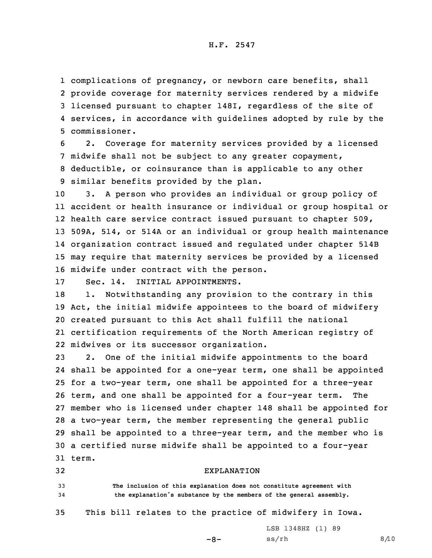## H.F. 2547

 complications of pregnancy, or newborn care benefits, shall provide coverage for maternity services rendered by <sup>a</sup> midwife licensed pursuant to chapter 148I, regardless of the site of services, in accordance with guidelines adopted by rule by the commissioner.

 2. Coverage for maternity services provided by <sup>a</sup> licensed midwife shall not be subject to any greater copayment, deductible, or coinsurance than is applicable to any other similar benefits provided by the plan.

 3. <sup>A</sup> person who provides an individual or group policy of accident or health insurance or individual or group hospital or health care service contract issued pursuant to chapter 509, 509A, 514, or 514A or an individual or group health maintenance organization contract issued and regulated under chapter 514B may require that maternity services be provided by <sup>a</sup> licensed midwife under contract with the person.

17 Sec. 14. INITIAL APPOINTMENTS.

18 1. Notwithstanding any provision to the contrary in this Act, the initial midwife appointees to the board of midwifery created pursuant to this Act shall fulfill the national certification requirements of the North American registry of midwives or its successor organization.

 2. One of the initial midwife appointments to the board shall be appointed for <sup>a</sup> one-year term, one shall be appointed for <sup>a</sup> two-year term, one shall be appointed for <sup>a</sup> three-year term, and one shall be appointed for <sup>a</sup> four-year term. The member who is licensed under chapter 148 shall be appointed for <sup>a</sup> two-year term, the member representing the general public shall be appointed to <sup>a</sup> three-year term, and the member who is <sup>a</sup> certified nurse midwife shall be appointed to <sup>a</sup> four-year 31 term.

32 EXPLANATION

33 **The inclusion of this explanation does not constitute agreement with** <sup>34</sup> **the explanation's substance by the members of the general assembly.**

35 This bill relates to the practice of midwifery in Iowa.

-8-

LSB 1348HZ (1) 89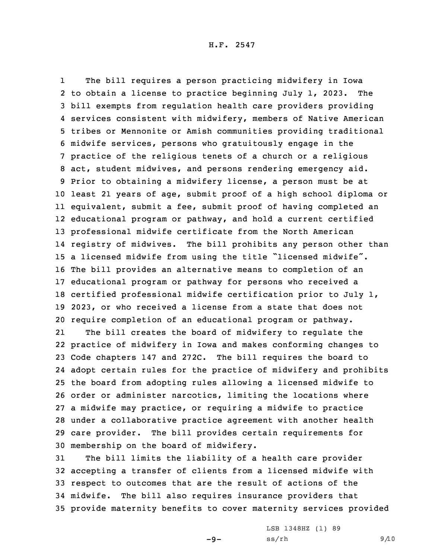1 The bill requires <sup>a</sup> person practicing midwifery in Iowa to obtain <sup>a</sup> license to practice beginning July 1, 2023. The bill exempts from regulation health care providers providing services consistent with midwifery, members of Native American tribes or Mennonite or Amish communities providing traditional midwife services, persons who gratuitously engage in the practice of the religious tenets of <sup>a</sup> church or <sup>a</sup> religious act, student midwives, and persons rendering emergency aid. Prior to obtaining <sup>a</sup> midwifery license, <sup>a</sup> person must be at least 21 years of age, submit proof of <sup>a</sup> high school diploma or equivalent, submit <sup>a</sup> fee, submit proof of having completed an educational program or pathway, and hold <sup>a</sup> current certified professional midwife certificate from the North American registry of midwives. The bill prohibits any person other than <sup>a</sup> licensed midwife from using the title "licensed midwife". The bill provides an alternative means to completion of an educational program or pathway for persons who received <sup>a</sup> certified professional midwife certification prior to July 1, 2023, or who received <sup>a</sup> license from <sup>a</sup> state that does not require completion of an educational program or pathway.

21 The bill creates the board of midwifery to regulate the practice of midwifery in Iowa and makes conforming changes to Code chapters 147 and 272C. The bill requires the board to adopt certain rules for the practice of midwifery and prohibits the board from adopting rules allowing <sup>a</sup> licensed midwife to order or administer narcotics, limiting the locations where <sup>a</sup> midwife may practice, or requiring <sup>a</sup> midwife to practice under <sup>a</sup> collaborative practice agreement with another health care provider. The bill provides certain requirements for membership on the board of midwifery.

 The bill limits the liability of <sup>a</sup> health care provider accepting <sup>a</sup> transfer of clients from <sup>a</sup> licensed midwife with respect to outcomes that are the result of actions of the midwife. The bill also requires insurance providers that provide maternity benefits to cover maternity services provided

 $-9-$ 

LSB 1348HZ (1) 89  $ss/rh$  9/10